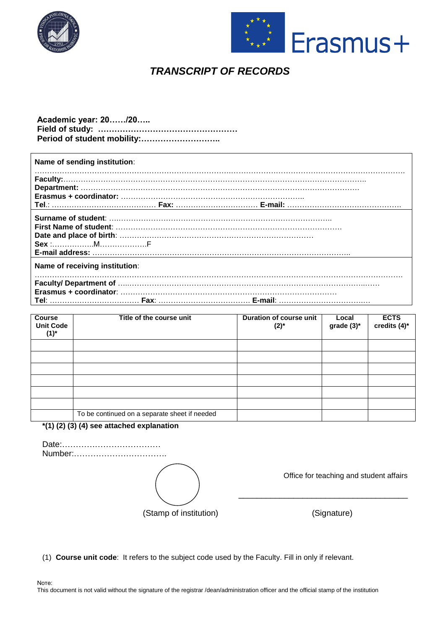



# *TRANSCRIPT OF RECORDS*

## **Аcademic year: 20……/20….. Field of study: …………………………………………… Period of student mobility:………………………..**

| Name of sending institution:   |  |  |  |  |
|--------------------------------|--|--|--|--|
|                                |  |  |  |  |
|                                |  |  |  |  |
| $Sex$ : $M$                    |  |  |  |  |
| Name of receiving institution: |  |  |  |  |
|                                |  |  |  |  |
|                                |  |  |  |  |

| <b>Course</b><br><b>Unit Code</b><br>$(1)^{*}$ | Title of the course unit                      | Duration of course unit<br>$(2)^{*}$ | Local<br>grade $(3)^*$ | <b>ECTS</b><br>credits (4)* |
|------------------------------------------------|-----------------------------------------------|--------------------------------------|------------------------|-----------------------------|
|                                                |                                               |                                      |                        |                             |
|                                                |                                               |                                      |                        |                             |
|                                                |                                               |                                      |                        |                             |
|                                                |                                               |                                      |                        |                             |
|                                                |                                               |                                      |                        |                             |
|                                                |                                               |                                      |                        |                             |
|                                                | To be continued on a separate sheet if needed |                                      |                        |                             |

**\*(1) (2) (3) (4) see attached explanation**

Date:……………………………… Number:…………………………….

(Stamp of institution) (Signature)

Office for teaching and student affairs

\_\_\_\_\_\_\_\_\_\_\_\_\_\_\_\_\_\_\_\_\_\_\_\_\_\_\_\_\_\_\_\_\_\_\_\_\_

(1) **Course unit code**: It refers to the subject code used by the Faculty. Fill in only if relevant.